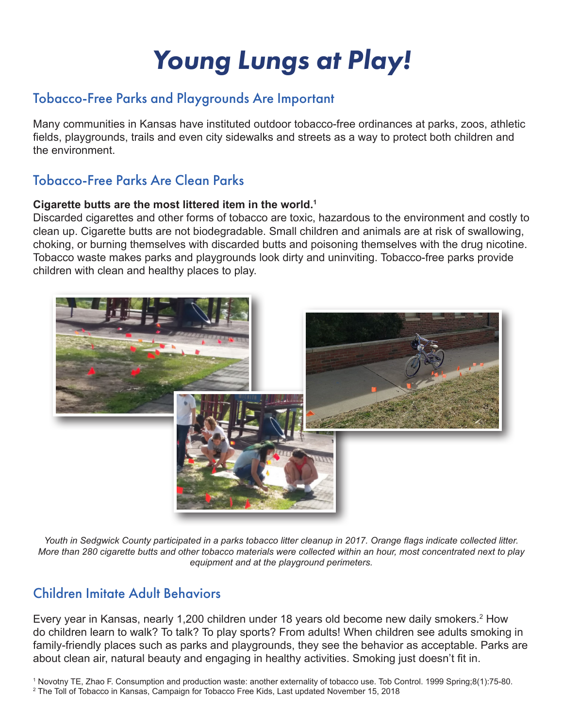# *Young Lungs at Play!*

## Tobacco-Free Parks and Playgrounds Are Important

Many communities in Kansas have instituted outdoor tobacco-free ordinances at parks, zoos, athletic fields, playgrounds, trails and even city sidewalks and streets as a way to protect both children and the environment.

#### Tobacco-Free Parks Are Clean Parks

#### **Cigarette butts are the most littered item in the world.1**

Discarded cigarettes and other forms of tobacco are toxic, hazardous to the environment and costly to clean up. Cigarette butts are not biodegradable. Small children and animals are at risk of swallowing, choking, or burning themselves with discarded butts and poisoning themselves with the drug nicotine. Tobacco waste makes parks and playgrounds look dirty and uninviting. Tobacco-free parks provide children with clean and healthy places to play.



*Youth in Sedgwick County participated in a parks tobacco litter cleanup in 2017. Orange flags indicate collected litter. More than 280 cigarette butts and other tobacco materials were collected within an hour, most concentrated next to play equipment and at the playground perimeters.* 

## Children Imitate Adult Behaviors

Every year in Kansas, nearly 1,200 children under 18 years old become new daily smokers.<sup>2</sup> How do children learn to walk? To talk? To play sports? From adults! When children see adults smoking in family-friendly places such as parks and playgrounds, they see the behavior as acceptable. Parks are about clean air, natural beauty and engaging in healthy activities. Smoking just doesn't fit in.

1 Novotny TE, Zhao F. Consumption and production waste: another externality of tobacco use. Tob Control. 1999 Spring;8(1):75-80. 2 The Toll of Tobacco in Kansas, Campaign for Tobacco Free Kids, Last updated November 15, 2018